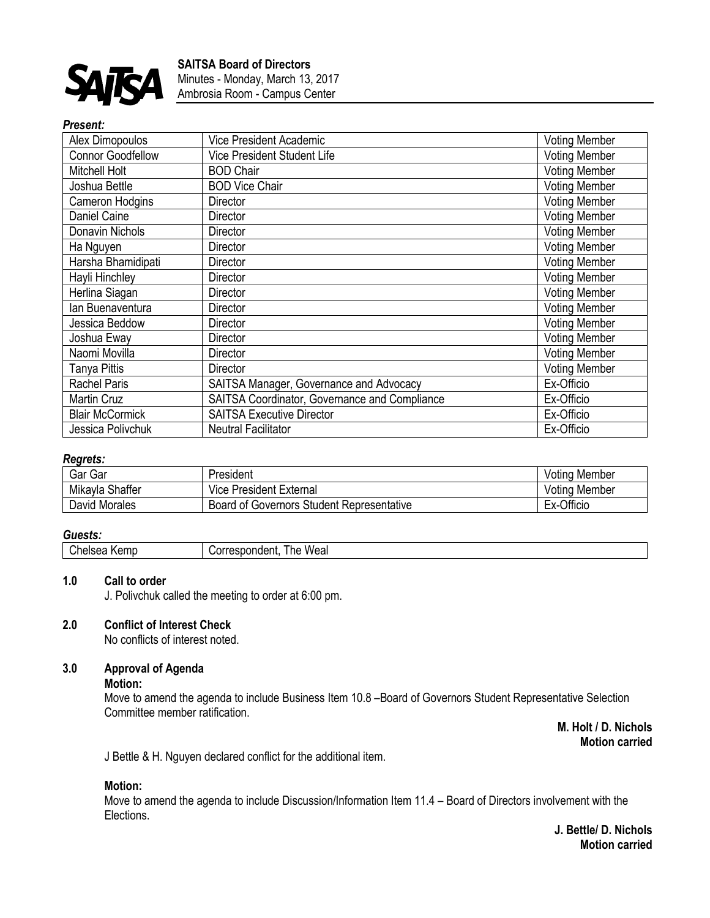

### *Present:*

| Alex Dimopoulos          | Vice President Academic                       | <b>Voting Member</b> |
|--------------------------|-----------------------------------------------|----------------------|
| <b>Connor Goodfellow</b> | Vice President Student Life                   | <b>Voting Member</b> |
| Mitchell Holt            | <b>BOD Chair</b>                              | <b>Voting Member</b> |
| Joshua Bettle            | <b>BOD Vice Chair</b>                         | <b>Voting Member</b> |
| Cameron Hodgins          | <b>Director</b>                               | <b>Voting Member</b> |
| Daniel Caine             | Director                                      | <b>Voting Member</b> |
| Donavin Nichols          | Director                                      | <b>Voting Member</b> |
| Ha Nguyen                | <b>Director</b>                               | <b>Voting Member</b> |
| Harsha Bhamidipati       | <b>Director</b>                               | <b>Voting Member</b> |
| Hayli Hinchley           | Director                                      | <b>Voting Member</b> |
| Herlina Siagan           | Director                                      | <b>Voting Member</b> |
| lan Buenaventura         | Director                                      | <b>Voting Member</b> |
| Jessica Beddow           | Director                                      | <b>Voting Member</b> |
| Joshua Eway              | <b>Director</b>                               | <b>Voting Member</b> |
| Naomi Movilla            | Director                                      | <b>Voting Member</b> |
| Tanya Pittis             | <b>Director</b>                               | <b>Voting Member</b> |
| <b>Rachel Paris</b>      | SAITSA Manager, Governance and Advocacy       | Ex-Officio           |
| <b>Martin Cruz</b>       | SAITSA Coordinator, Governance and Compliance | Ex-Officio           |
| <b>Blair McCormick</b>   | <b>SAITSA Executive Director</b>              | Ex-Officio           |
| Jessica Polivchuk        | <b>Neutral Facilitator</b>                    | Ex-Officio           |

# *Regrets:*

| Gar Gar            | President                                 | <b>Voting Member</b> |
|--------------------|-------------------------------------------|----------------------|
| Mikayla<br>Shaffer | <b>President External</b><br>Vice         | <b>Voting Member</b> |
| David Morales      | Board of Governors Student Representative | Officio<br>Ex-C      |

### *Guests:*

| $\bigcap$<br>Kemr<br>apises.<br>ылс<br>_____ | The Weal<br>--<br>respondent |
|----------------------------------------------|------------------------------|
|                                              |                              |

## **1.0 Call to order**

J. Polivchuk called the meeting to order at 6:00 pm.

# **2.0 Conflict of Interest Check**

No conflicts of interest noted.

### **3.0 Approval of Agenda**

## **Motion:**

Move to amend the agenda to include Business Item 10.8 –Board of Governors Student Representative Selection Committee member ratification.

> **M. Holt / D. Nichols Motion carried**

J Bettle & H. Nguyen declared conflict for the additional item.

### **Motion:**

Move to amend the agenda to include Discussion/Information Item 11.4 – Board of Directors involvement with the Elections.

> **J. Bettle/ D. Nichols Motion carried**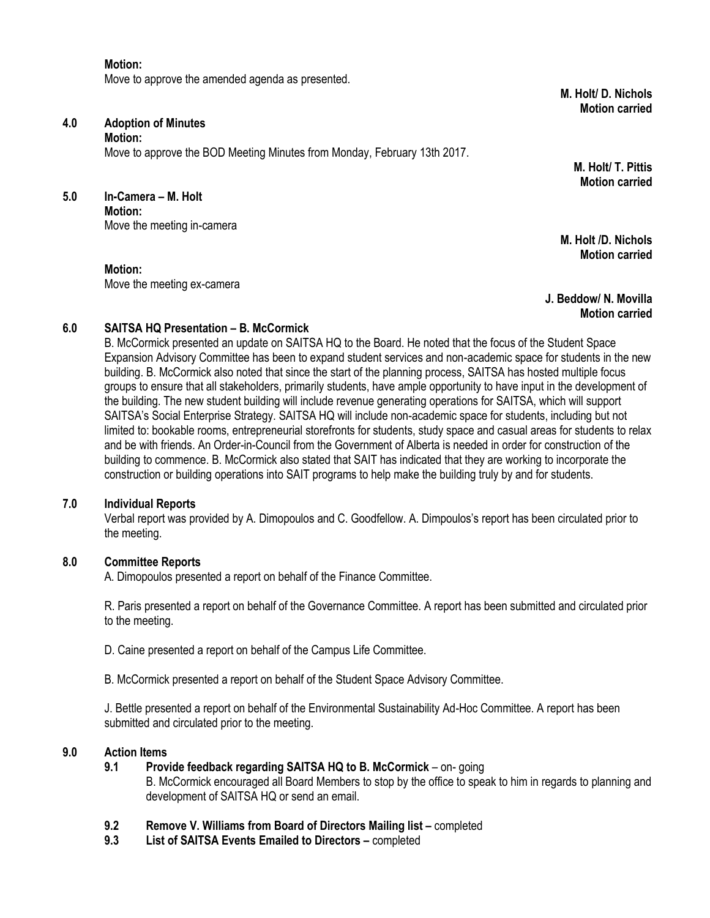### **Motion:**

Move to approve the amended agenda as presented.

**M. Holt/ D. Nichols Motion carried** 

# **4.0 Adoption of Minutes**

**Motion:**

Move to approve the BOD Meeting Minutes from Monday, February 13th 2017.

**5.0 In-Camera – M. Holt Motion:** Move the meeting in-camera

**Motion:**

Move the meeting ex-camera

**M. Holt/ T. Pittis Motion carried**

**M. Holt /D. Nichols Motion carried**

**J. Beddow/ N. Movilla Motion carried**

### **6.0 SAITSA HQ Presentation – B. McCormick**

B. McCormick presented an update on SAITSA HQ to the Board. He noted that the focus of the Student Space Expansion Advisory Committee has been to expand student services and non-academic space for students in the new building. B. McCormick also noted that since the start of the planning process, SAITSA has hosted multiple focus groups to ensure that all stakeholders, primarily students, have ample opportunity to have input in the development of the building. The new student building will include revenue generating operations for SAITSA, which will support SAITSA's Social Enterprise Strategy. SAITSA HQ will include non-academic space for students, including but not limited to: bookable rooms, entrepreneurial storefronts for students, study space and casual areas for students to relax and be with friends. An Order-in-Council from the Government of Alberta is needed in order for construction of the building to commence. B. McCormick also stated that SAIT has indicated that they are working to incorporate the construction or building operations into SAIT programs to help make the building truly by and for students.

### **7.0 Individual Reports**

Verbal report was provided by A. Dimopoulos and C. Goodfellow. A. Dimpoulos's report has been circulated prior to the meeting.

### **8.0 Committee Reports**

A. Dimopoulos presented a report on behalf of the Finance Committee.

R. Paris presented a report on behalf of the Governance Committee. A report has been submitted and circulated prior to the meeting.

- D. Caine presented a report on behalf of the Campus Life Committee.
- B. McCormick presented a report on behalf of the Student Space Advisory Committee.

J. Bettle presented a report on behalf of the Environmental Sustainability Ad-Hoc Committee. A report has been submitted and circulated prior to the meeting.

### **9.0 Action Items**

**9.1 Provide feedback regarding SAITSA HQ to B. McCormick** – on- going

B. McCormick encouraged all Board Members to stop by the office to speak to him in regards to planning and development of SAITSA HQ or send an email.

- **9.2 Remove V. Williams from Board of Directors Mailing list completed**
- **9.3 List of SAITSA Events Emailed to Directors –** completed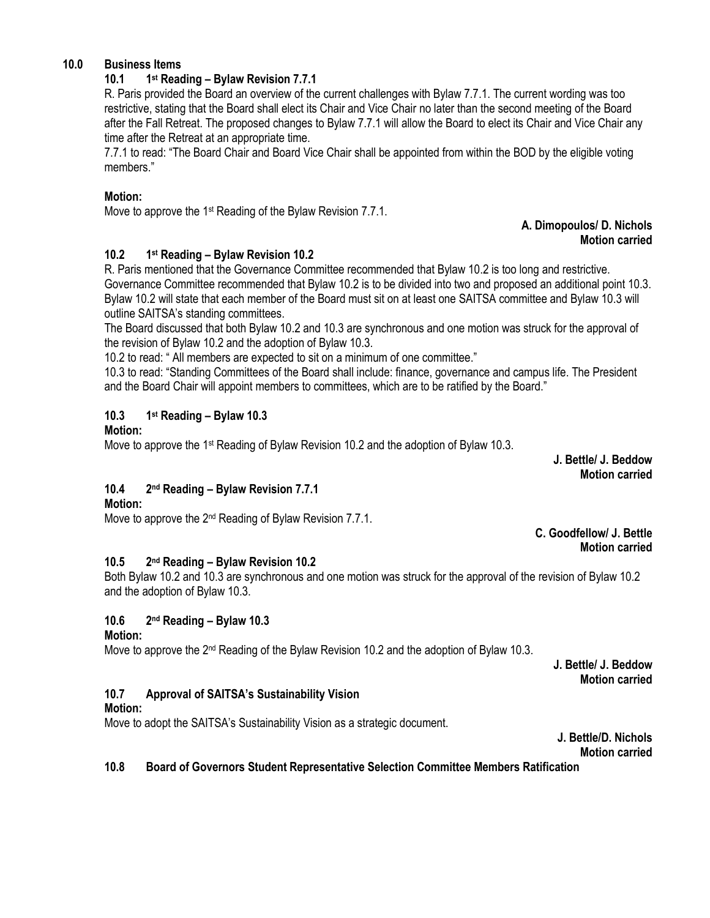# **10.0 Business Items**

#### **10.1 1 st Reading – Bylaw Revision 7.7.1**

R. Paris provided the Board an overview of the current challenges with Bylaw 7.7.1. The current wording was too restrictive, stating that the Board shall elect its Chair and Vice Chair no later than the second meeting of the Board after the Fall Retreat. The proposed changes to Bylaw 7.7.1 will allow the Board to elect its Chair and Vice Chair any time after the Retreat at an appropriate time.

7.7.1 to read: "The Board Chair and Board Vice Chair shall be appointed from within the BOD by the eligible voting members."

### **Motion:**

Move to approve the 1<sup>st</sup> Reading of the Bylaw Revision 7.7.1.

### **A. Dimopoulos/ D. Nichols Motion carried**

#### **10.2 1 st Reading – Bylaw Revision 10.2**

R. Paris mentioned that the Governance Committee recommended that Bylaw 10.2 is too long and restrictive. Governance Committee recommended that Bylaw 10.2 is to be divided into two and proposed an additional point 10.3. Bylaw 10.2 will state that each member of the Board must sit on at least one SAITSA committee and Bylaw 10.3 will outline SAITSA's standing committees.

The Board discussed that both Bylaw 10.2 and 10.3 are synchronous and one motion was struck for the approval of the revision of Bylaw 10.2 and the adoption of Bylaw 10.3.

10.2 to read: " All members are expected to sit on a minimum of one committee."

10.3 to read: "Standing Committees of the Board shall include: finance, governance and campus life. The President and the Board Chair will appoint members to committees, which are to be ratified by the Board."

#### **10.3 1 st Reading – Bylaw 10.3**

## **Motion:**

Move to approve the 1<sup>st</sup> Reading of Bylaw Revision 10.2 and the adoption of Bylaw 10.3.

**J. Bettle/ J. Beddow Motion carried**

#### **10.4 2 nd Reading – Bylaw Revision 7.7.1**

# **Motion:**

Move to approve the 2<sup>nd</sup> Reading of Bylaw Revision 7.7.1.

**C. Goodfellow/ J. Bettle Motion carried**

#### **10.5 2 nd Reading – Bylaw Revision 10.2**

Both Bylaw 10.2 and 10.3 are synchronous and one motion was struck for the approval of the revision of Bylaw 10.2 and the adoption of Bylaw 10.3.

#### **10.6 2 nd Reading – Bylaw 10.3**

### **Motion:**

Move to approve the 2<sup>nd</sup> Reading of the Bylaw Revision 10.2 and the adoption of Bylaw 10.3.

**J. Bettle/ J. Beddow Motion carried**

# **10.7 Approval of SAITSA's Sustainability Vision**

## **Motion:**

Move to adopt the SAITSA's Sustainability Vision as a strategic document.

**J. Bettle/D. Nichols Motion carried**

**10.8 Board of Governors Student Representative Selection Committee Members Ratification**